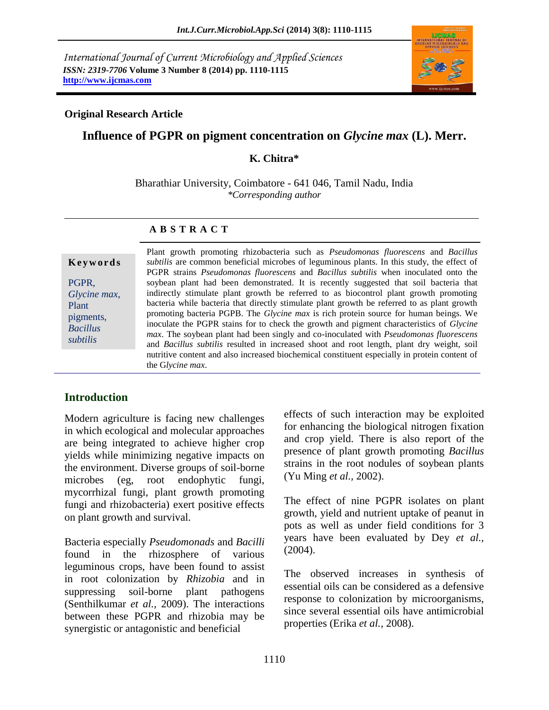*International Journal of Current Microbiology and Applied Sciences ISSN: 2319-7706* **Volume 3 Number 8 (2014) pp. 1110-1115 http://www.ijcmas.com**



#### **Original Research Article**

# **Influence of PGPR on pigment concentration on** *Glycine max* **(L). Merr.**

### **K. Chitra\***

Bharathiar University, Coimbatore - 641 046, Tamil Nadu, India *\*Corresponding author*

# **A B S T R A C T**

#### **K e y w o r d s**

PGPR, *Glycine max*, Plant pigments, *Bacillus subtilis*

Plant growth promoting rhizobacteria such as *Pseudomonas fluorescens* and *Bacillus subtilis* are common beneficial microbes of leguminous plants. In this study, the effect of PGPR strains *Pseudomonas fluorescens* and *Bacillus subtilis* when inoculated onto the soybean plant had been demonstrated. It is recently suggested that soil bacteria that indirectly stimulate plant growth be referred to as biocontrol plant growth promoting bacteria while bacteria that directly stimulate plant growth be referred to as plant growth promoting bacteria PGPB. The *Glycine max* is rich protein source for human beings. We inoculate the PGPR stains for to check the growth and pigment characteristics of *Glycine max*. The soybean plant had been singly and co-inoculated with *Pseudomonas fluorescens*  and *Bacillus subtilis* resulted in increased shoot and root length, plant dry weight, soil nutritive content and also increased biochemical constituent especially in protein content of the G*lycine max*.

# **Introduction**

Modern agriculture is facing new challenges in which ecological and molecular approaches are being integrated to achieve higher crop yields while minimizing negative impacts on the environment. Diverse groups of soil-borne microbes (eg, root endophytic fungi, mycorrhizal fungi, plant growth promoting fungi and rhizobacteria) exert positive effects on plant growth and survival.

Bacteria especially *Pseudomonads* and *Bacilli* found in the rhizosphere of various leguminous crops, have been found to assist in root colonization by *Rhizobia* and in suppressing soil-borne plant pathogens (Senthilkumar *et al.,* 2009). The interactions between these PGPR and rhizobia may be synergistic or antagonistic and beneficial

effects of such interaction may be exploited for enhancing the biological nitrogen fixation and crop yield. There is also report of the presence of plant growth promoting *Bacillus* strains in the root nodules of soybean plants (Yu Ming *et al.,* 2002).

The effect of nine PGPR isolates on plant growth, yield and nutrient uptake of peanut in pots as well as under field conditions for 3 years have been evaluated by Dey *et al.,* (2004).

The observed increases in synthesis of essential oils can be considered as a defensive response to colonization by microorganisms, since several essential oils have antimicrobial properties (Erika *et al.,* 2008).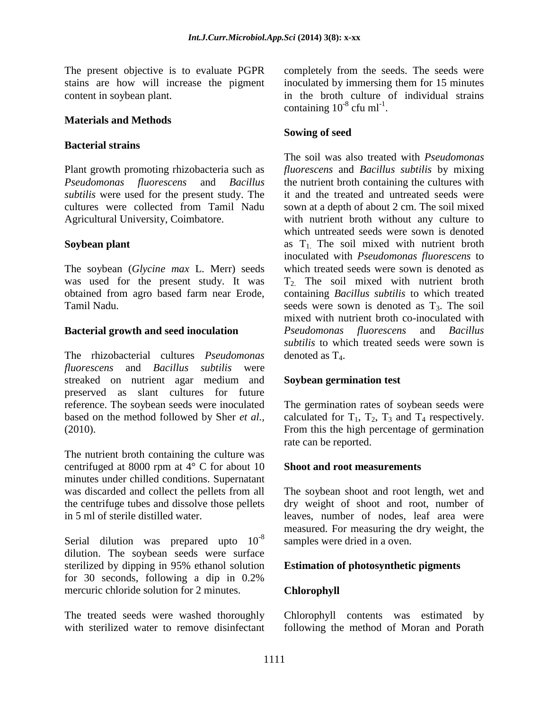The present objective is to evaluate PGPR stains are how will increase the pigment content in soybean plant.

### **Materials and Methods**

### **Bacterial strains**

Plant growth promoting rhizobacteria such as *Pseudomonas fluorescens* and *Bacillus subtilis* were used for the present study. The cultures were collected from Tamil Nadu Agricultural University, Coimbatore.

### **Soybean plant**

The soybean (*Glycine max* L. Merr) seeds was used for the present study. It was obtained from agro based farm near Erode, Tamil Nadu.

#### **Bacterial growth and seed inoculation**

The rhizobacterial cultures *Pseudomonas fluorescens* and *Bacillus subtilis* were streaked on nutrient agar medium and preserved as slant cultures for future reference. The soybean seeds were inoculated based on the method followed by Sher *et al.,* (2010).

The nutrient broth containing the culture was centrifuged at 8000 rpm at 4° C for about 10 minutes under chilled conditions. Supernatant was discarded and collect the pellets from all the centrifuge tubes and dissolve those pellets in 5 ml of sterile distilled water.

Serial dilution was prepared upto  $10^{-8}$ dilution. The soybean seeds were surface sterilized by dipping in 95% ethanol solution for 30 seconds, following a dip in 0.2% mercuric chloride solution for 2 minutes.

The treated seeds were washed thoroughly with sterilized water to remove disinfectant completely from the seeds. The seeds were inoculated by immersing them for 15 minutes in the broth culture of individual strains containing  $10^{-8}$  cfu ml<sup>-1</sup>.

### **Sowing of seed**

The soil was also treated with *Pseudomonas fluorescens* and *Bacillus subtilis* by mixing the nutrient broth containing the cultures with it and the treated and untreated seeds were sown at a depth of about 2 cm. The soil mixed with nutrient broth without any culture to which untreated seeds were sown is denoted as  $T_1$ . The soil mixed with nutrient broth inoculated with *Pseudomonas fluorescens* to which treated seeds were sown is denoted as T2. The soil mixed with nutrient broth containing *Bacillus subtilis* to which treated seeds were sown is denoted as  $T_3$ . The soil mixed with nutrient broth co-inoculated with *Pseudomonas fluorescens* and *Bacillus subtilis* to which treated seeds were sown is denoted as  $T_4$ .

#### **Soybean germination test**

The germination rates of soybean seeds were calculated for  $T_1$ ,  $T_2$ ,  $T_3$  and  $T_4$  respectively. From this the high percentage of germination rate can be reported.

#### **Shoot and root measurements**

The soybean shoot and root length, wet and dry weight of shoot and root, number of leaves, number of nodes, leaf area were measured. For measuring the dry weight, the samples were dried in a oven.

# **Estimation of photosynthetic pigments**

# **Chlorophyll**

Chlorophyll contents was estimated by following the method of Moran and Porath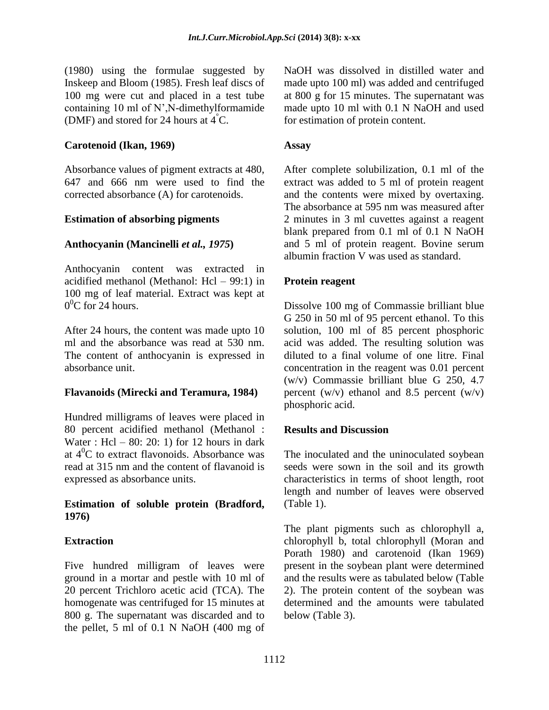(1980) using the formulae suggested by Inskeep and Bloom (1985). Fresh leaf discs of 100 mg were cut and placed in a test tube containing 10 ml of N',N-dimethylformamide (DMF) and stored for 24 hours at  $4^{\degree}$ C.

### **Carotenoid (Ikan, 1969)**

Absorbance values of pigment extracts at 480, 647 and 666 nm were used to find the corrected absorbance (A) for carotenoids.

#### **Estimation of absorbing pigments**

### **Anthocyanin (Mancinelli** *et al., 1975***)**

Anthocyanin content was extracted in acidified methanol (Methanol: Hcl – 99:1) in 100 mg of leaf material. Extract was kept at  $0^0C$  for 24 hours.

After 24 hours, the content was made upto 10 ml and the absorbance was read at 530 nm. The content of anthocyanin is expressed in absorbance unit.

#### **Flavanoids (Mirecki and Teramura, 1984)**

Hundred milligrams of leaves were placed in 80 percent acidified methanol (Methanol : Water : Hcl – 80: 20: 1) for 12 hours in dark at  $4^0C$  to extract flavonoids. Absorbance was read at 315 nm and the content of flavanoid is expressed as absorbance units.

#### **Estimation of soluble protein (Bradford, 1976)**

# **Extraction**

Five hundred milligram of leaves were ground in a mortar and pestle with 10 ml of 20 percent Trichloro acetic acid (TCA). The homogenate was centrifuged for 15 minutes at 800 g. The supernatant was discarded and to the pellet, 5 ml of 0.1 N NaOH (400 mg of NaOH was dissolved in distilled water and made upto 100 ml) was added and centrifuged at 800 g for 15 minutes. The supernatant was made upto 10 ml with 0.1 N NaOH and used for estimation of protein content.

### **Assay**

After complete solubilization, 0.1 ml of the extract was added to 5 ml of protein reagent and the contents were mixed by overtaxing. The absorbance at 595 nm was measured after 2 minutes in 3 ml cuvettes against a reagent blank prepared from 0.1 ml of 0.1 N NaOH and 5 ml of protein reagent. Bovine serum albumin fraction V was used as standard.

### **Protein reagent**

Dissolve 100 mg of Commassie brilliant blue G 250 in 50 ml of 95 percent ethanol. To this solution, 100 ml of 85 percent phosphoric acid was added. The resulting solution was diluted to a final volume of one litre. Final concentration in the reagent was 0.01 percent (w/v) Commassie brilliant blue G 250, 4.7 percent  $(w/v)$  ethanol and 8.5 percent  $(w/v)$ phosphoric acid.

# **Results and Discussion**

The inoculated and the uninoculated soybean seeds were sown in the soil and its growth characteristics in terms of shoot length, root length and number of leaves were observed (Table 1).

The plant pigments such as chlorophyll a, chlorophyll b, total chlorophyll (Moran and Porath 1980) and carotenoid (Ikan 1969) present in the soybean plant were determined and the results were as tabulated below (Table 2). The protein content of the soybean was determined and the amounts were tabulated below (Table 3).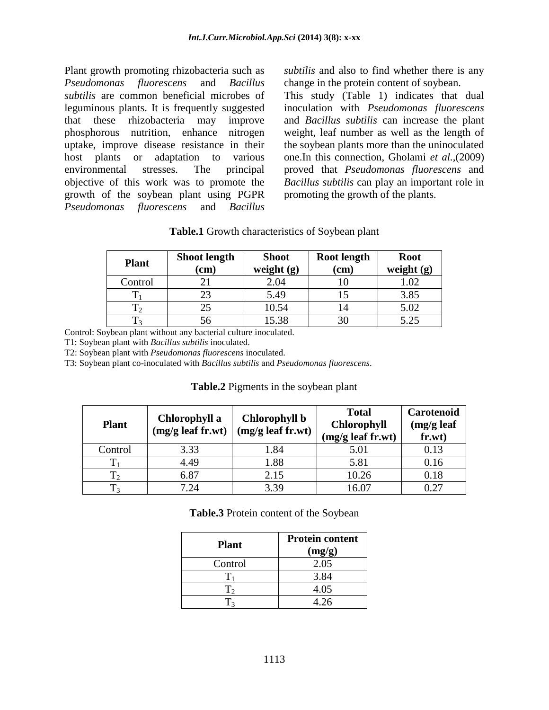Plant growth promoting rhizobacteria such as *Pseudomonas fluorescens* and *Bacillus subtilis* are common beneficial microbes of leguminous plants. It is frequently suggested that these rhizobacteria may improve phosphorous nutrition, enhance nitrogen uptake, improve disease resistance in their host plants or adaptation to various environmental stresses. The principal objective of this work was to promote the growth of the soybean plant using PGPR *Pseudomonas fluorescens* and *Bacillus*  *subtilis* and also to find whether there is any change in the protein content of soybean.

This study (Table 1) indicates that dual inoculation with *Pseudomonas fluorescens*  and *Bacillus subtilis* can increase the plant weight, leaf number as well as the length of the soybean plants more than the uninoculated one.In this connection, Gholami *et al.,*(2009) proved that *Pseudomonas fluorescens* and *Bacillus subtilis* can play an important role in promoting the growth of the plants.

| <b>Plant</b> | <b>Shoot length</b><br>$\mathbf{(cm)}$ | <b>Shoot</b><br>weight $(g)$ | <b>Root length</b><br>$\left( \text{cm}\right)$ | <b>Root</b><br>weight $(g)$ |
|--------------|----------------------------------------|------------------------------|-------------------------------------------------|-----------------------------|
| Control      |                                        | 2.04                         |                                                 | 1.02                        |
|              | 23                                     | 5.49                         |                                                 | 3.85                        |
|              | 25                                     | 10.54                        |                                                 | 5.02                        |
|              | აი.                                    | 15.38                        | 30                                              | 5.25                        |

**Table.1** Growth characteristics of Soybean plant

Control: Soybean plant without any bacterial culture inoculated.

T1: Soybean plant with *Bacillus subtilis* inoculated.

T2: Soybean plant with *Pseudomonas fluorescens* inoculated.

T3: Soybean plant co-inoculated with *Bacillus subtilis* and *Pseudomonas fluorescens*.

| <b>Plant</b> | Chlorophyll a<br>(mg/g leaf fr.wt) | Chlorophyll b<br>(mg/g leaf fr.wt) | <b>Total</b><br><b>Chlorophyll</b><br>$(mg/g \text{ leaf fr.wt})$ | Carotenoid<br>(mg/g leaf<br>fr.wt) |
|--------------|------------------------------------|------------------------------------|-------------------------------------------------------------------|------------------------------------|
| Control      | 3.33                               | 1.84                               | 5.01                                                              | 0.13                               |
|              | 4.49                               | 1.88                               | 5.81                                                              | 0.16                               |
| $\rm T_2$    | 6.87                               | 2.15                               | 10.26                                                             | 0.18                               |
| $T_3$        | 7.24                               | 3.39                               | 16.07                                                             | 0.27                               |

**Table.3** Protein content of the Soybean

| <b>Plant</b> | <b>Protein content</b><br>(mg/g) |
|--------------|----------------------------------|
| Control      | 2.05                             |
|              | 3.84                             |
| Ľ,           | 4.05                             |
|              | 4.26                             |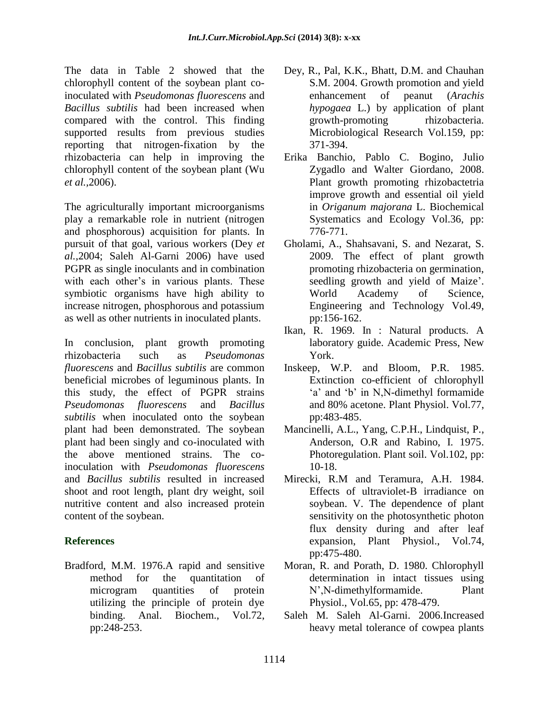The data in Table 2 showed that the chlorophyll content of the soybean plant coinoculated with *Pseudomonas fluorescens* and *Bacillus subtilis* had been increased when compared with the control. This finding supported results from previous studies reporting that nitrogen-fixation by the rhizobacteria can help in improving the chlorophyll content of the soybean plant (Wu *et al.,*2006).

The agriculturally important microorganisms play a remarkable role in nutrient (nitrogen and phosphorous) acquisition for plants. In pursuit of that goal, various workers (Dey *et al.,*2004; Saleh Al-Garni 2006) have used PGPR as single inoculants and in combination with each other's in various plants. These symbiotic organisms have high ability to increase nitrogen, phosphorous and potassium as well as other nutrients in inoculated plants.

In conclusion, plant growth promoting rhizobacteria such as *Pseudomonas fluorescens* and *Bacillus subtilis* are common beneficial microbes of leguminous plants. In this study, the effect of PGPR strains *Pseudomonas fluorescens* and *Bacillus subtilis* when inoculated onto the soybean plant had been demonstrated. The soybean plant had been singly and co-inoculated with the above mentioned strains. The coinoculation with *Pseudomonas fluorescens*  and *Bacillus subtilis* resulted in increased shoot and root length, plant dry weight, soil nutritive content and also increased protein content of the soybean.

# **References**

Bradford, M.M. 1976.A rapid and sensitive method for the quantitation of microgram quantities of protein utilizing the principle of protein dye binding. Anal. Biochem., Vol.72, pp:248-253.

- Dey, R., Pal, K.K., Bhatt, D.M. and Chauhan S.M. 2004. Growth promotion and yield enhancement of peanut (*Arachis hypogaea* L.) by application of plant growth-promoting rhizobacteria. Microbiological Research Vol.159, pp: 371-394.
- Erika Banchio, Pablo C. Bogino, Julio Zygadlo and Walter Giordano, 2008. Plant growth promoting rhizobactetria improve growth and essential oil yield in *Origanum majorana* L. Biochemical Systematics and Ecology Vol.36, pp: 776-771.
- Gholami, A., Shahsavani, S. and Nezarat, S. 2009. The effect of plant growth promoting rhizobacteria on germination, seedling growth and yield of Maize'. World Academy of Science, Engineering and Technology Vol.49, pp:156-162.
- Ikan, R. 1969. In : Natural products. A laboratory guide. Academic Press, New York.
- Inskeep, W.P. and Bloom, P.R. 1985. Extinction co-efficient of chlorophyll 'a' and 'b' in N,N-dimethyl formamide and 80% acetone. Plant Physiol. Vol.77, pp:483-485.
- Mancinelli, A.L., Yang, C.P.H., Lindquist, P., Anderson, O.R and Rabino, I. 1975. Photoregulation. Plant soil. Vol.102, pp: 10-18.
- Mirecki, R.M and Teramura, A.H. 1984. Effects of ultraviolet-B irradiance on soybean. V. The dependence of plant sensitivity on the photosynthetic photon flux density during and after leaf expansion, Plant Physiol., Vol.74, pp:475-480.
- Moran, R. and Porath, D. 1980. Chlorophyll determination in intact tissues using N',N-dimethylformamide. Plant Physiol., Vol.65, pp: 478-479.
- Saleh M. Saleh Al-Garni. 2006.Increased heavy metal tolerance of cowpea plants